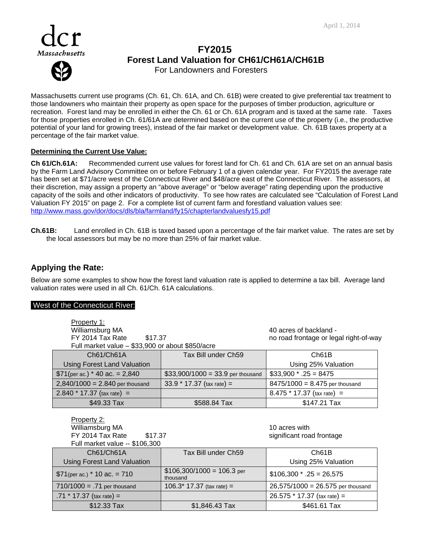

# Massachusetts **FY2015 Forest Land Valuation for CH61/CH61A/CH61B**  For Landowners and Foresters

Massachusetts current use programs (Ch. 61, Ch. 61A, and Ch. 61B) were created to give preferential tax treatment to those landowners who maintain their property as open space for the purposes of timber production, agriculture or recreation. Forest land may be enrolled in either the Ch. 61 or Ch. 61A program and is taxed at the same rate. Taxes for those properties enrolled in Ch. 61/61A are determined based on the current use of the property (i.e., the productive potential of your land for growing trees), instead of the fair market or development value. Ch. 61B taxes property at a percentage of the fair market value.

### **Determining the Current Use Value:**

**Ch 61/Ch.61A:** Recommended current use values for forest land for Ch. 61 and Ch. 61A are set on an annual basis by the Farm Land Advisory Committee on or before February 1 of a given calendar year. For FY2015 the average rate has been set at \$71/acre west of the Connecticut River and \$48/acre east of the Connecticut River. The assessors, at their discretion, may assign a property an "above average" or "below average" rating depending upon the productive capacity of the soils and other indicators of productivity. To see how rates are calculated see "Calculation of Forest Land Valuation FY 2015" on page 2. For a complete list of current farm and forestland valuation values see: http://www.mass.gov/dor/docs/dls/bla/farmland/fy15/chapterlandvaluesfy15.pdf

**Ch.61B:** Land enrolled in Ch. 61B is taxed based upon a percentage of the fair market value. The rates are set by the local assessors but may be no more than 25% of fair market value.

# **Applying the Rate:**

Below are some examples to show how the forest land valuation rate is applied to determine a tax bill. Average land valuation rates were used in all Ch. 61/Ch. 61A calculations.

### West of the Connecticut River:

| Property 1:<br>Williamsburg MA                   | 40 acres of backland -                  |                                        |  |
|--------------------------------------------------|-----------------------------------------|----------------------------------------|--|
| FY 2014 Tax Rate \$17.37                         |                                         | no road frontage or legal right-of-way |  |
| Full market value - \$33,900 or about \$850/acre |                                         |                                        |  |
| Ch61/Ch61A                                       | Tax Bill under Ch59                     | Ch61B                                  |  |
| <b>Using Forest Land Valuation</b>               | Using 25% Valuation                     |                                        |  |
| $$71$ (per ac.) * 40 ac. = 2,840                 | $$33,900/1000 = 33.9$ per thousand      | $$33,900 * .25 = 8475$                 |  |
| $2,840/1000 = 2.840$ per thousand                | $33.9 * 17.37$ (tax rate) =             | $8475/1000 = 8.475$ per thousand       |  |
| $2.840 * 17.37$ (tax rate) =                     |                                         | $8.475 * 17.37$ (tax rate) =           |  |
| \$49.33 Tax                                      | \$588.84 Tax                            | \$147.21 Tax                           |  |
|                                                  |                                         |                                        |  |
| Property 2:                                      |                                         |                                        |  |
| Williamsburg MA                                  |                                         | 10 acres with                          |  |
| FY 2014 Tax Rate<br>\$17.37                      |                                         | significant road frontage              |  |
| Full market value -- \$106,300                   |                                         |                                        |  |
| Ch61/Ch61A                                       | Tax Bill under Ch59                     | Ch61B                                  |  |
| <b>Using Forest Land Valuation</b>               |                                         | Using 25% Valuation                    |  |
| $$71$ (per ac.) * 10 ac. = 710                   | $$106,300/1000 = 106.3$ per<br>thousand | $$106,300$ * .25 = 26,575              |  |
| $710/1000 = .71$ per thousand                    | $106.3*17.37$ (tax rate) =              | $26,575/1000 = 26.575$ per thousand    |  |
| .71 $*$ 17.37 (tax rate) =                       |                                         | $26.575 * 17.37$ (tax rate) =          |  |

\$12.33 Tax \$1,846.43 Tax \$461.61 Tax